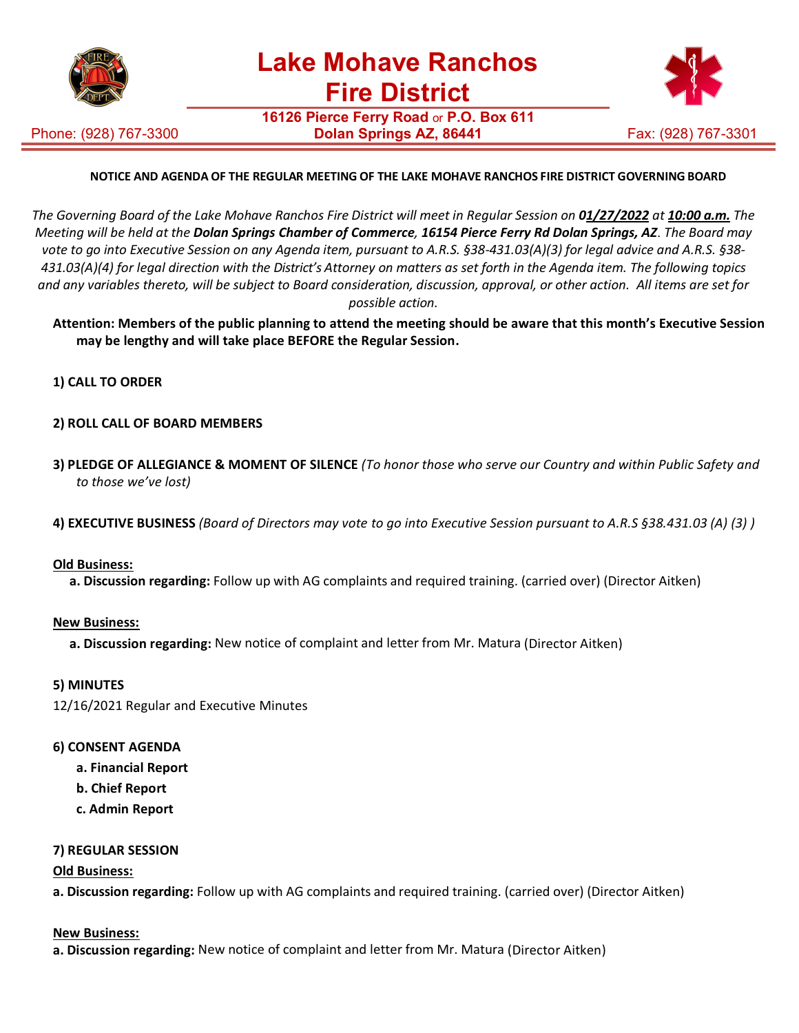

Phone: (928) 767-3300

**16126 Pierce Ferry Road** or **P.O. Box 611 Dolan Springs AZ, 86441 Fax: (928) 767-3301** 



# **NOTICE AND AGENDA OF THE REGULAR MEETING OF THE LAKE MOHAVE RANCHOS FIRE DISTRICT GOVERNING BOARD**

The Governing Board of the Lake Mohave Ranchos Fire District will meet in Regular Session on 01/27/2022 at 10:00 a.m. The *Meeting will be held at the Dolan Springs Chamber of Commerce, 16154 Pierce Ferry Rd Dolan Springs, AZ*. *The Board may vote to go into Executive Session on any Agenda item, pursuant to A.R.S. §38-431.03(A)(3) for legal advice and A.R.S. §38- 431.03(A)(4) for legal direction with the District's Attorney on matters as set forth in the Agenda item. The following topics and any variables thereto, will be subject to Board consideration, discussion, approval, or other action. All items are set for possible action.*

**Attention: Members of the public planning to attend the meeting should be aware that this month's Executive Session may be lengthy and will take place BEFORE the Regular Session.**

**1) CALL TO ORDER**

### **2) ROLL CALL OF BOARD MEMBERS**

- **3) PLEDGE OF ALLEGIANCE & MOMENT OF SILENCE** *(To honor those who serve our Country and within Public Safety and to those we've lost)*
- **4) EXECUTIVE BUSINESS** *(Board of Directors may vote to go into Executive Session pursuant to A.R.S §38.431.03 (A) (3) )*

### **Old Business:**

**a. Discussion regarding:** Follow up with AG complaints and required training. (carried over) (Director Aitken)

### **New Business:**

**a. Discussion regarding:** New notice of complaint and letter from Mr. Matura (Director Aitken)

### **5) MINUTES**

12/16/2021 Regular and Executive Minutes

### **6) CONSENT AGENDA**

- **a. Financial Report**
- **b. Chief Report**
- **c. Admin Report**

### **7) REGULAR SESSION**

### **Old Business:**

**a. Discussion regarding:** Follow up with AG complaints and required training. (carried over) (Director Aitken)

### **New Business:**

**a. Discussion regarding:** New notice of complaint and letter from Mr. Matura (Director Aitken)